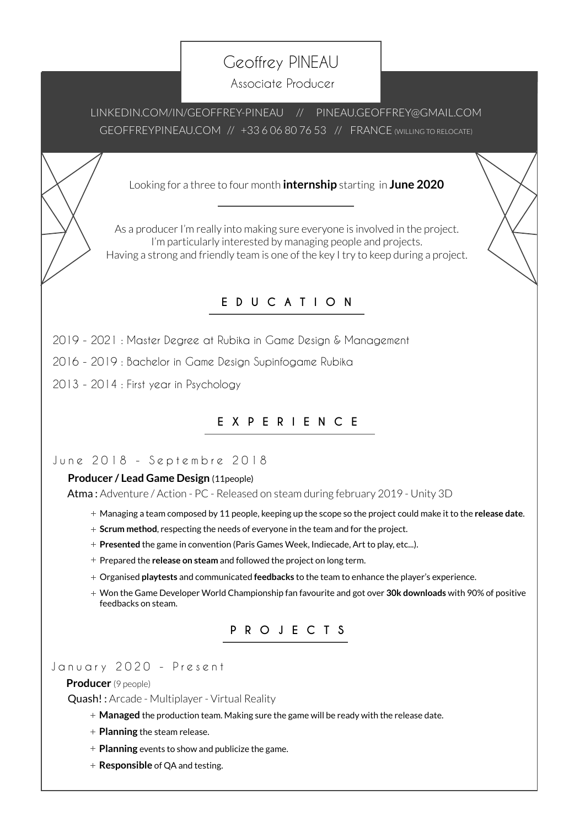# Geoffrey PINEAU

Associate Producer

[LINKEDIN.COM/IN/GEOFFREY-PINEAU](https://www.linkedin.com/feed/) // [PINEAU.GEOFFREY@GMAIL.COM](mailto:pineau.geoffrey%40gmail.com?subject=) [GEOFFREYPINEAU.COM](https://geoffreypineau.com/) // +33 6 06 80 76 53 // FRANCE (WILLING TO RELOCATE)

Looking for a three to four month **internship** starting in **June 2020**

As a producer I'm really into making sure everyone is involved in the project. I'm particularly interested by managing people and projects. Having a strong and friendly team is one of the key I try to keep during a project.

# **EDUCATION**

2019 - 2021 : Master Degree at [Rubika in Game Design & Management](https://rubika-edu.com/)

2016 - 2019 : Bachel[or in Game Design Supinfogame Rubika](https://rubika-edu.com/)

2013 - 2014 : First year in Psychology

# **EXPERIENCE**

June 2018 - Septembre 2018

# **Producer / Lead Game Design** (11people)

[Atma :](https://geoffreypineau.com/2019/01/03/atma/) Adventure / Action - PC - Released o[n steam d](https://store.steampowered.com/app/1096590/Atma/)uring february 2019 - Unity 3D

- Managing a team composed by 11 people, keeping up the scope so the project could make it to the **release date**.
- **Scrum method**, respecting the needs of everyone in the team and for the project.
- **Presented** the game in convention (Paris Games Week, Indiecade, Art to play, etc...).
- Prepared the **release on steam** and followed the project on long term.
- Organised **playtests** and communicated **feedbacks** to the team to enhance the player's experience.
- Won the Game Developer World Championship fan favourite and got over **30k downloads** with 90% of positive feedbacks on steam.



## January 2020 - Present

#### **Producer** (9 people)

[Quash!](https://geoffreypineau.com/2020/01/31/158/) : Arcade - Multiplayer - Virtual Reality

- **Managed** the production team. Making sure the game will be ready with the release date.
- **Planning** the steam release.
- **Planning** events to show and publicize the game.
- **Responsible** of QA and testing.